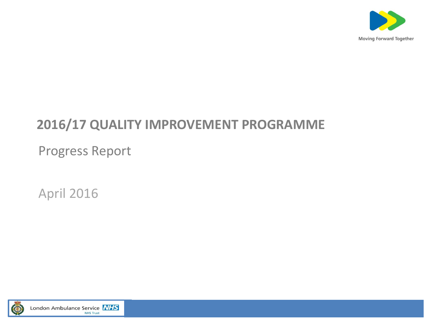

# **2016/17 QUALITY IMPROVEMENT PROGRAMME**

Progress Report

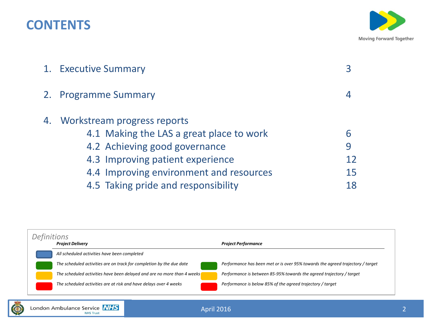# **CONTENTS**



| 1. Executive Summary                     |    |
|------------------------------------------|----|
| 2. Programme Summary                     |    |
| 4. Workstream progress reports           |    |
| 4.1 Making the LAS a great place to work | 6  |
| 4.2 Achieving good governance            | 9  |
| 4.3 Improving patient experience         | 12 |
| 4.4 Improving environment and resources  | 15 |
| 4.5 Taking pride and responsibility      | 18 |



London Ambulance Service **NHS**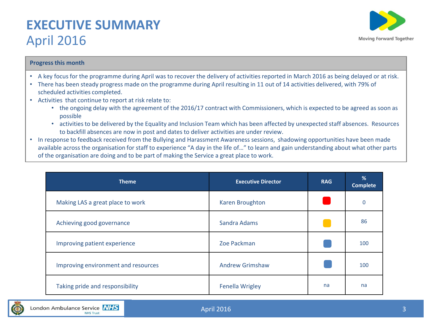# **EXECUTIVE SUMMARY**  April 2016



# **Progress this month**

- A key focus for the programme during April was to recover the delivery of activities reported in March 2016 as being delayed or at risk.
- There has been steady progress made on the programme during April resulting in 11 out of 14 activities delivered, with 79% of scheduled activities completed.
- Activities that continue to report at risk relate to:
	- the ongoing delay with the agreement of the 2016/17 contract with Commissioners, which is expected to be agreed as soon as possible
	- activities to be delivered by the Equality and Inclusion Team which has been affected by unexpected staff absences. Resources to backfill absences are now in post and dates to deliver activities are under review.
- In response to feedback received from the Bullying and Harassment Awareness sessions, shadowing opportunities have been made available across the organisation for staff to experience "A day in the life of…" to learn and gain understanding about what other parts of the organisation are doing and to be part of making the Service a great place to work.

| <b>Theme</b>                        | <b>Executive Director</b> | <b>RAG</b> | %<br><b>Complete</b> |
|-------------------------------------|---------------------------|------------|----------------------|
| Making LAS a great place to work    | Karen Broughton           |            | 0                    |
| Achieving good governance           | Sandra Adams              |            | 86                   |
| Improving patient experience        | Zoe Packman               |            | 100                  |
| Improving environment and resources | <b>Andrew Grimshaw</b>    |            | 100                  |
| Taking pride and responsibility     | <b>Fenella Wrigley</b>    | na         | na                   |

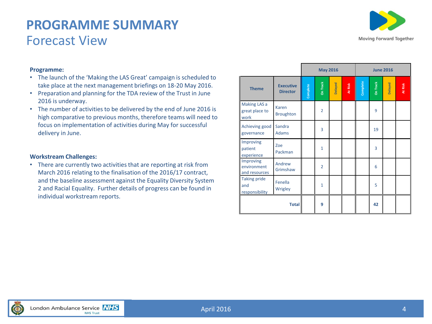# **PROGRAMME SUMMARY** Forecast View



## **Programme:**

- The launch of the 'Making the LAS Great' campaign is scheduled to take place at the next management briefings on 18-20 May 2016.
- Preparation and planning for the TDA review of the Trust in June 2016 is underway.
- The number of activities to be delivered by the end of June 2016 is high comparative to previous months, therefore teams will need to focus on implementation of activities during May for successful delivery in June.

## **Workstream Challenges:**

• There are currently two activities that are reporting at risk from March 2016 relating to the finalisation of the 2016/17 contract, and the baseline assessment against the Equality Diversity System 2 and Racial Equality. Further details of progress can be found in individual workstream reports.

|                                              | <b>May 2016</b>                     |          |                |         |         |          |          | <b>June 2016</b> |         |
|----------------------------------------------|-------------------------------------|----------|----------------|---------|---------|----------|----------|------------------|---------|
| <b>Theme</b>                                 | <b>Executive</b><br><b>Director</b> | Complete | On Track       | Delayed | At Risk | Complete | On Track | Delayed          | At Risk |
| Making LAS a<br>great place to<br>work       | Karen<br><b>Broughton</b>           |          | $\overline{2}$ |         |         |          | 9        |                  |         |
| Achieving good<br>governance                 | Sandra<br><b>Adams</b>              |          | 3              |         |         |          | 19       |                  |         |
| Improving<br>patient<br>experience           | Zoe<br>Packman                      |          | $\mathbf{1}$   |         |         |          | 3        |                  |         |
| Improving<br>environment<br>and resources    | Andrew<br>Grimshaw                  |          | $\overline{2}$ |         |         |          | 6        |                  |         |
| <b>Taking pride</b><br>and<br>responsibility | Fenella<br>Wrigley                  |          | $\mathbf{1}$   |         |         |          | 5        |                  |         |
|                                              | <b>Total</b>                        |          | 9              |         |         |          | 42       |                  |         |

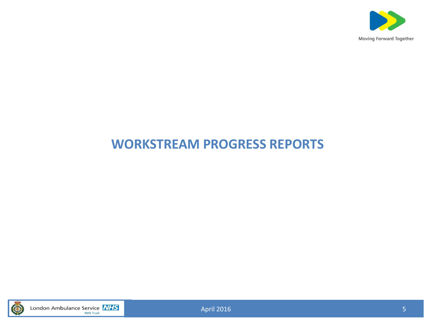

# **WORKSTREAM PROGRESS REPORTS**



London Ambulance Service **NHS**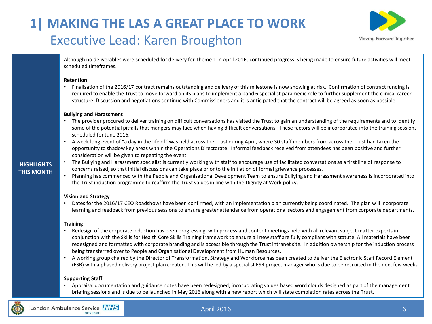# **1| MAKING THE LAS A GREAT PLACE TO WORK** Executive Lead: Karen Broughton



Although no deliverables were scheduled for delivery for Theme 1 in April 2016, continued progress is being made to ensure future activities will meet scheduled timeframes.

### **Retention**

• Finalisation of the 2016/17 contract remains outstanding and delivery of this milestone is now showing at risk. Confirmation of contract funding is required to enable the Trust to move forward on its plans to implement a band 6 specialist paramedic role to further supplement the clinical career structure. Discussion and negotiations continue with Commissioners and it is anticipated that the contract will be agreed as soon as possible.

### **Bullying and Harassment**

- The provider procured to deliver training on difficult conversations has visited the Trust to gain an understanding of the requirements and to identify some of the potential pitfalls that mangers may face when having difficult conversations. These factors will be incorporated into the training sessions scheduled for June 2016.
- A week long event of "a day in the life of" was held across the Trust during April, where 30 staff members from across the Trust had taken the opportunity to shadow key areas within the Operations Directorate. Informal feedback received from attendees has been positive and further consideration will be given to repeating the event.
- The Bullying and Harassment specialist is currently working with staff to encourage use of facilitated conversations as a first line of response to concerns raised, so that initial discussions can take place prior to the initiation of formal grievance processes.
- Planning has commenced with the People and Organisational Development Team to ensure Bullying and Harassment awareness is incorporated into the Trust induction programme to reaffirm the Trust values in line with the Dignity at Work policy.

## **Vision and Strategy**

• Dates for the 2016/17 CEO Roadshows have been confirmed, with an implementation plan currently being coordinated. The plan will incorporate learning and feedback from previous sessions to ensure greater attendance from operational sectors and engagement from corporate departments.

## **Training**

- Redesign of the corporate induction has been progressing, with process and content meetings held with all relevant subject matter experts in conjunction with the Skills for Health Core Skills Training framework to ensure all new staff are fully compliant with statute. All materials have been redesigned and formatted with corporate branding and is accessible through the Trust intranet site. In addition ownership for the induction process being transferred over to People and Organisational Development from Human Resources.
- A working group chaired by the Director of Transformation, Strategy and Workforce has been created to deliver the Electronic Staff Record Element (ESR) with a phased delivery project plan created. This will be led by a specialist ESR project manager who is due to be recruited in the next few weeks.

## **Supporting Staff**

• Appraisal documentation and guidance notes have been redesigned, incorporating values based word clouds designed as part of the management briefing sessions and is due to be launched in May 2016 along with a new report which will state completion rates across the Trust.



# April 2016

6

# **HIGHLIGHTS THIS MONTH**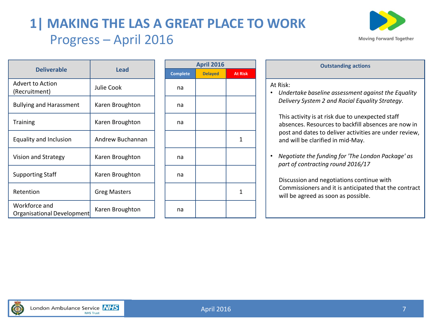# **1| MAKING THE LAS A GREAT PLACE TO WORK** Progress – April 2016



|                                             | <b>Lead</b>         |  |    | <b>April 2016</b> |                |                 |
|---------------------------------------------|---------------------|--|----|-------------------|----------------|-----------------|
| <b>Deliverable</b>                          |                     |  |    | <b>Delayed</b>    | <b>At Risk</b> |                 |
| <b>Advert to Action</b><br>(Recruitment)    | Julie Cook          |  | na |                   |                | At Risk:<br>Und |
| <b>Bullying and Harassment</b>              | Karen Broughton     |  | na |                   |                | Deliy           |
| <b>Training</b>                             | Karen Broughton     |  | na |                   |                | This<br>abse    |
| Equality and Inclusion                      | Andrew Buchannan    |  |    |                   | 1              | post<br>and     |
| Vision and Strategy                         | Karen Broughton     |  | na |                   |                | Neg<br>part     |
| <b>Supporting Staff</b>                     | Karen Broughton     |  | na |                   |                | <b>Disc</b>     |
| Retention                                   | <b>Greg Masters</b> |  |    |                   | 1              | Com<br>will     |
| Workforce and<br>Organisational Development | Karen Broughton     |  | na |                   |                |                 |

| <b>April 2016</b> |                |                |  |  |  |  |  |  |  |
|-------------------|----------------|----------------|--|--|--|--|--|--|--|
| <b>Complete</b>   | <b>Delayed</b> | <b>At Risk</b> |  |  |  |  |  |  |  |
| na                |                |                |  |  |  |  |  |  |  |
| na                |                |                |  |  |  |  |  |  |  |
| na                |                |                |  |  |  |  |  |  |  |
|                   |                | 1              |  |  |  |  |  |  |  |
| na                |                |                |  |  |  |  |  |  |  |
| na                |                |                |  |  |  |  |  |  |  |
|                   |                | 1              |  |  |  |  |  |  |  |
| na                |                |                |  |  |  |  |  |  |  |

| <b>April 2016</b> |         | <b>Outstanding actions</b>                                                                              |
|-------------------|---------|---------------------------------------------------------------------------------------------------------|
| <b>Delayed</b>    | At Risk |                                                                                                         |
|                   |         | At Risk:                                                                                                |
|                   |         | Undertake baseline assessment against the Equality<br>٠                                                 |
|                   |         | Delivery System 2 and Racial Equality Strategy.                                                         |
|                   |         | This activity is at risk due to unexpected staff<br>absences. Resources to backfill absences are now in |
|                   | 1       | post and dates to deliver activities are under review,<br>and will be clarified in mid-May.             |
|                   |         |                                                                                                         |

• *Negotiate the funding for 'The London Package' as part of contracting round 2016/17*

Discussion and negotiations continue with Commissioners and it is anticipated that the contract will be agreed as soon as possible.

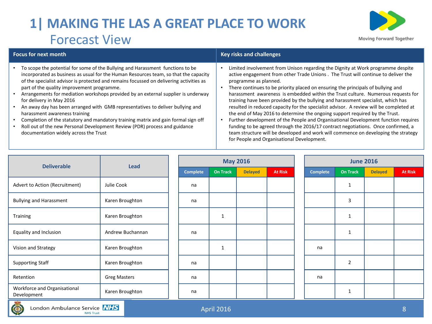# **1| MAKING THE LAS A GREAT PLACE TO WORK** Forecast View



team structure will be developed and work will commence on developing the strategy

for People and Organisational Development.

### **Focus for next month Key risks and challenges** • To scope the potential for some of the Bullying and Harassment functions to be incorporated as business as usual for the Human Resources team, so that the capacity of the specialist advisor is protected and remains focussed on delivering activities as part of the quality improvement programme. • Arrangements for mediation workshops provided by an external supplier is underway for delivery in May 2016 • An away day has been arranged with GMB representatives to deliver bullying and harassment awareness training • Completion of the statutory and mandatory training matrix and gain formal sign off • Roll out of the new Personal Development Review (PDR) process and guidance • Limited involvement from Unison regarding the Dignity at Work programme despite active engagement from other Trade Unions . The Trust will continue to deliver the programme as planned. • There continues to be priority placed on ensuring the principals of bullying and harassment awareness is embedded within the Trust culture. Numerous requests for training have been provided by the bullying and harassment specialist, which has resulted in reduced capacity for the specialist advisor. A review will be completed at the end of May 2016 to determine the ongoing support required by the Trust. • Further development of the People and Organisational Development function requires funding to be agreed through the 2016/17 contract negotiations. Once confirmed, a

| <b>Deliverable</b>                          | Lead                |  |                 |                 | <b>May 2016</b> |                |  |                 |                 | <b>June 2016</b> |                |  |  |
|---------------------------------------------|---------------------|--|-----------------|-----------------|-----------------|----------------|--|-----------------|-----------------|------------------|----------------|--|--|
|                                             |                     |  | <b>Complete</b> | <b>On Track</b> | <b>Delayed</b>  | <b>At Risk</b> |  | <b>Complete</b> | <b>On Track</b> | <b>Delayed</b>   | <b>At Risk</b> |  |  |
| Advert to Action (Recruitment)              | Julie Cook          |  | na              |                 |                 |                |  |                 | $\mathbf{1}$    |                  |                |  |  |
| <b>Bullying and Harassment</b>              | Karen Broughton     |  | na              |                 |                 |                |  |                 | 3               |                  |                |  |  |
| Training                                    | Karen Broughton     |  |                 | 1               |                 |                |  |                 | $\mathbf{1}$    |                  |                |  |  |
| Equality and Inclusion                      | Andrew Buchannan    |  | na              |                 |                 |                |  |                 | $\mathbf{1}$    |                  |                |  |  |
| Vision and Strategy                         | Karen Broughton     |  |                 | 1               |                 |                |  | na              |                 |                  |                |  |  |
| <b>Supporting Staff</b>                     | Karen Broughton     |  | na              |                 |                 |                |  |                 | $\overline{2}$  |                  |                |  |  |
| Retention                                   | <b>Greg Masters</b> |  | na              |                 |                 |                |  | na              |                 |                  |                |  |  |
| Workforce and Organisational<br>Development | Karen Broughton     |  | na              |                 |                 |                |  |                 | $\mathbf{1}$    |                  |                |  |  |
| <b>Contract</b>                             |                     |  |                 |                 |                 |                |  |                 |                 |                  |                |  |  |



documentation widely across the Trust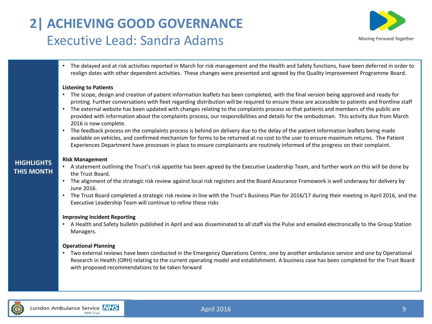# **2| ACHIEVING GOOD GOVERNANCE** Executive Lead: Sandra Adams



• The delayed and at risk activities reported in March for risk management and the Health and Safety functions, have been deferred in order to realign dates with other dependent activities. These changes were presented and agreed by the Quality Improvement Programme Board.

## **Listening to Patients**

- The scope, design and creation of patient information leaflets has been completed, with the final version being approved and ready for printing. Further conversations with fleet regarding distribution will be required to ensure these are accessible to patients and frontline staff
- The external website has been updated with changes relating to the complaints process so that patients and members of the public are provided with information about the complaints process, our responsibilities and details for the ombudsman. This activity due from March 2016 is now complete.
- The feedback process on the complaints process is behind on delivery due to the delay of the patient information leaflets being made available on vehicles, and confirmed mechanism for forms to be returned at no cost to the user to ensure maximum returns. The Patient Experiences Department have processes in place to ensure complainants are routinely informed of the progress on their complaint.

## **Risk Management**

- A statement outlining the Trust's risk appetite has been agreed by the Executive Leadership Team, and further work on this will be done by the Trust Board.
- The alignment of the strategic risk review against local risk registers and the Board Assurance Framework is well underway for delivery by June 2016.
- The Trust Board completed a strategic risk review in line with the Trust's Business Plan for 2016/17 during their meeting in April 2016, and the Executive Leadership Team will continue to refine these risks

## **Improving Incident Reporting**

• A Health and Safety bulletin published in April and was disseminated to all staff via the Pulse and emailed electronically to the Group Station Managers.

## **Operational Planning**

• Two external reviews have been conducted in the Emergency Operations Centre, one by another ambulance service and one by Operational Research in Health (ORH) relating to the current operating model and establishment. A business case has been completed for the Trust Board with proposed recommendations to be taken forward



**HIGHLIGHTS THIS MONTH**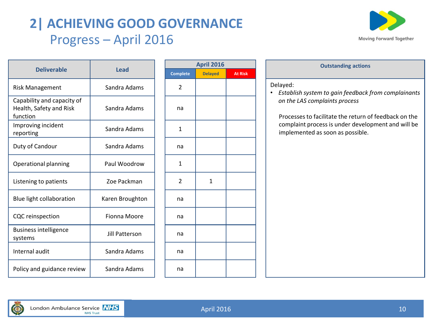# **2| ACHIEVING GOOD GOVERNANCE** Progress – April 2016



|                                                                   |                 | <b>April</b> 2  |              |  |
|-------------------------------------------------------------------|-----------------|-----------------|--------------|--|
| <b>Deliverable</b>                                                | <b>Lead</b>     | <b>Complete</b> | <b>Delay</b> |  |
| <b>Risk Management</b>                                            | Sandra Adams    | $\overline{2}$  |              |  |
| Capability and capacity of<br>Health, Safety and Risk<br>function | Sandra Adams    | na              |              |  |
| Improving incident<br>reporting                                   | Sandra Adams    | 1               |              |  |
| Duty of Candour                                                   | Sandra Adams    | na              |              |  |
| Operational planning                                              | Paul Woodrow    | 1               |              |  |
| Listening to patients                                             | Zoe Packman     | $\overline{2}$  | 1            |  |
| Blue light collaboration                                          | Karen Broughton | na              |              |  |
| <b>CQC</b> reinspection                                           | Fionna Moore    | na              |              |  |
| <b>Business intelligence</b><br>systems                           | Jill Patterson  | na              |              |  |
| Internal audit                                                    | Sandra Adams    | na              |              |  |
| Policy and guidance review                                        | Sandra Adams    | na              |              |  |

| <b>April 2016</b> |                |                |  |  |  |  |  |  |  |  |
|-------------------|----------------|----------------|--|--|--|--|--|--|--|--|
| <b>Complete</b>   | <b>Delayed</b> | <b>At Risk</b> |  |  |  |  |  |  |  |  |
| $\mathbf 2$       |                |                |  |  |  |  |  |  |  |  |
| na                |                |                |  |  |  |  |  |  |  |  |
| $\mathbf 1$       |                |                |  |  |  |  |  |  |  |  |
| na                |                |                |  |  |  |  |  |  |  |  |
| $\mathbf 1$       |                |                |  |  |  |  |  |  |  |  |
| $\overline{c}$    | $\mathbf 1$    |                |  |  |  |  |  |  |  |  |
| na                |                |                |  |  |  |  |  |  |  |  |
| na                |                |                |  |  |  |  |  |  |  |  |
| na                |                |                |  |  |  |  |  |  |  |  |
| na                |                |                |  |  |  |  |  |  |  |  |
| na                |                |                |  |  |  |  |  |  |  |  |

# **April 2016 Outstanding actions**

## Delayed:

• *Establish system to gain feedback from complainants on the LAS complaints process*

Processes to facilitate the return of feedback on the complaint process is under development and will be implemented as soon as possible.

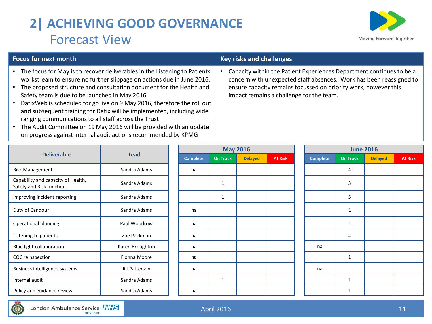# **2| ACHIEVING GOOD GOVERNANCE** Forecast View



- The focus for May is to recover deliverables in the Listening to Patients workstream to ensure no further slippage on actions due in June 2016.
- The proposed structure and consultation document for the Health and Safety team is due to be launched in May 2016
- DatixWeb is scheduled for go live on 9 May 2016, therefore the roll out and subsequent training for Datix will be implemented, including wide ranging communications to all staff across the Trust
- The Audit Committee on 19 May 2016 will be provided with an update on progress against internal audit actions recommended by KPMG

# **Focus for next month Key risks and challenges**

• Capacity within the Patient Experiences Department continues to be a concern with unexpected staff absences. Work has been reassigned to ensure capacity remains focussed on priority work, however this impact remains a challenge for the team.

|                                                                | <b>Lead</b>     |  | <b>May 2016</b> |                 |                |                |  | <b>June 2016</b> |                 |                |                |  |  |
|----------------------------------------------------------------|-----------------|--|-----------------|-----------------|----------------|----------------|--|------------------|-----------------|----------------|----------------|--|--|
| <b>Deliverable</b>                                             |                 |  | <b>Complete</b> | <b>On Track</b> | <b>Delayed</b> | <b>At Risk</b> |  | Complete         | <b>On Track</b> | <b>Delayed</b> | <b>At Risk</b> |  |  |
| Risk Management                                                | Sandra Adams    |  | na              |                 |                |                |  |                  | 4               |                |                |  |  |
| Capability and capacity of Health,<br>Safety and Risk function | Sandra Adams    |  |                 | $\mathbf{1}$    |                |                |  |                  | 3               |                |                |  |  |
| Improving incident reporting                                   | Sandra Adams    |  |                 | $\mathbf{1}$    |                |                |  |                  | 5               |                |                |  |  |
| Duty of Candour                                                | Sandra Adams    |  | na              |                 |                |                |  |                  |                 |                |                |  |  |
| Operational planning                                           | Paul Woodrow    |  | na              |                 |                |                |  |                  |                 |                |                |  |  |
| Listening to patients                                          | Zoe Packman     |  | na              |                 |                |                |  |                  | $\overline{2}$  |                |                |  |  |
| Blue light collaboration                                       | Karen Broughton |  | na              |                 |                |                |  | na               |                 |                |                |  |  |
| CQC reinspection                                               | Fionna Moore    |  | na              |                 |                |                |  |                  | 1               |                |                |  |  |
| Business intelligence systems                                  | Jill Patterson  |  | na              |                 |                |                |  | na               |                 |                |                |  |  |
| Internal audit                                                 | Sandra Adams    |  |                 | $\mathbf{1}$    |                |                |  |                  | 1               |                |                |  |  |
| Policy and guidance review                                     | Sandra Adams    |  | na              |                 |                |                |  |                  |                 |                |                |  |  |

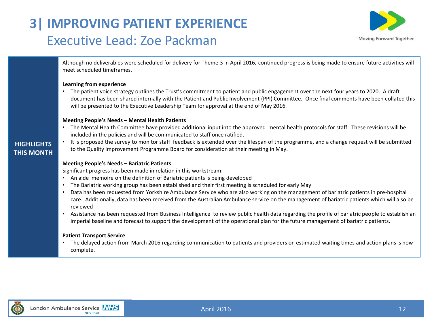# **3| IMPROVING PATIENT EXPERIENCE** Executive Lead: Zoe Packman



Although no deliverables were scheduled for delivery for Theme 3 in April 2016, continued progress is being made to ensure future activities will meet scheduled timeframes.

## **Learning from experience**

• The patient voice strategy outlines the Trust's commitment to patient and public engagement over the next four years to 2020. A draft document has been shared internally with the Patient and Public Involvement (PPI) Committee. Once final comments have been collated this will be presented to the Executive Leadership Team for approval at the end of May 2016.

## **Meeting People's Needs – Mental Health Patients**

• The Mental Health Committee have provided additional input into the approved mental health protocols for staff. These revisions will be included in the policies and will be communicated to staff once ratified. • It is proposed the survey to monitor staff feedback is extended over the lifespan of the programme, and a change request will be submitted

# **HIGHLIGHTS THIS MONTH**

# **Meeting People's Needs – Bariatric Patients**

Significant progress has been made in relation in this workstream:

- An aide memoire on the definition of Bariatric patients is being developed
- The Bariatric working group has been established and their first meeting is scheduled for early May

to the Quality Improvement Programme Board for consideration at their meeting in May.

- Data has been requested from Yorkshire Ambulance Service who are also working on the management of bariatric patients in pre-hospital care. Additionally, data has been received from the Australian Ambulance service on the management of bariatric patients which will also be reviewed
- Assistance has been requested from Business Intelligence to review public health data regarding the profile of bariatric people to establish an imperial baseline and forecast to support the development of the operational plan for the future management of bariatric patients.

## **Patient Transport Service**

• The delayed action from March 2016 regarding communication to patients and providers on estimated waiting times and action plans is now complete.

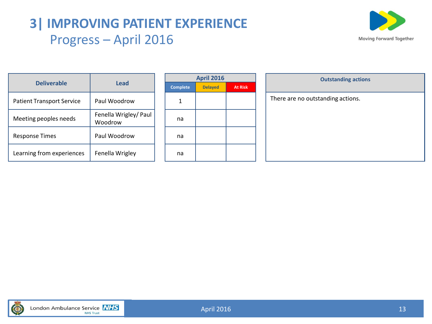# **3| IMPROVING PATIENT EXPERIENCE** Progress – April 2016



| <b>Deliverable</b>               | Lead                             |              |
|----------------------------------|----------------------------------|--------------|
|                                  |                                  | <b>Compl</b> |
| <b>Patient Transport Service</b> | Paul Woodrow                     |              |
| Meeting peoples needs            | Fenella Wrigley/ Paul<br>Woodrow | na           |
| <b>Response Times</b>            | Paul Woodrow                     | na           |
| Learning from experiences        | Fenella Wrigley                  | na           |

| <b>April 2016</b> |                |                |  |  |  |  |  |  |
|-------------------|----------------|----------------|--|--|--|--|--|--|
| <b>Complete</b>   | <b>Delayed</b> | <b>At Risk</b> |  |  |  |  |  |  |
|                   |                |                |  |  |  |  |  |  |
| na                |                |                |  |  |  |  |  |  |
| na                |                |                |  |  |  |  |  |  |
| na                |                |                |  |  |  |  |  |  |

| <b>April 2016</b> |                | <b>Outstanding actions</b>        |  |  |  |  |  |  |
|-------------------|----------------|-----------------------------------|--|--|--|--|--|--|
| <b>Delayed</b>    | <b>At Risk</b> |                                   |  |  |  |  |  |  |
|                   |                | There are no outstanding actions. |  |  |  |  |  |  |
|                   |                |                                   |  |  |  |  |  |  |
|                   |                |                                   |  |  |  |  |  |  |
|                   |                |                                   |  |  |  |  |  |  |
|                   |                |                                   |  |  |  |  |  |  |
|                   |                |                                   |  |  |  |  |  |  |
|                   |                |                                   |  |  |  |  |  |  |
|                   |                |                                   |  |  |  |  |  |  |

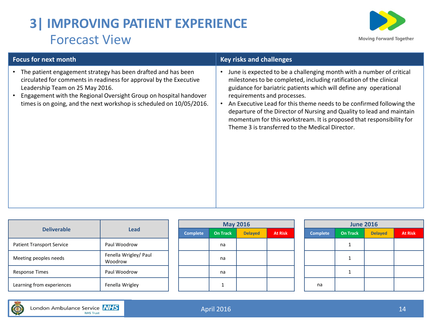# **3| IMPROVING PATIENT EXPERIENCE** Forecast View



| <b>Focus for next month</b>                                                                                                                                                                                                                                                                                         | <b>Key risks and challenges</b>                                                                                                                                                                                                                                                                                                                                                                                                                                                                                            |  |  |  |  |
|---------------------------------------------------------------------------------------------------------------------------------------------------------------------------------------------------------------------------------------------------------------------------------------------------------------------|----------------------------------------------------------------------------------------------------------------------------------------------------------------------------------------------------------------------------------------------------------------------------------------------------------------------------------------------------------------------------------------------------------------------------------------------------------------------------------------------------------------------------|--|--|--|--|
| The patient engagement strategy has been drafted and has been<br>circulated for comments in readiness for approval by the Executive<br>Leadership Team on 25 May 2016.<br>Engagement with the Regional Oversight Group on hospital handover<br>times is on going, and the next workshop is scheduled on 10/05/2016. | June is expected to be a challenging month with a number of critical<br>milestones to be completed, including ratification of the clinical<br>guidance for bariatric patients which will define any operational<br>requirements and processes.<br>An Executive Lead for this theme needs to be confirmed following the<br>departure of the Director of Nursing and Quality to lead and maintain<br>momentum for this workstream. It is proposed that responsibility for<br>Theme 3 is transferred to the Medical Director. |  |  |  |  |

|                                  |                                  |  |                 |                 | <b>May 2016</b> |                | <b>June 2016</b> |                 |                |                |
|----------------------------------|----------------------------------|--|-----------------|-----------------|-----------------|----------------|------------------|-----------------|----------------|----------------|
| <b>Deliverable</b>               | <b>Lead</b>                      |  | <b>Complete</b> | <b>On Track</b> | <b>Delayed</b>  | <b>At Risk</b> | <b>Complete</b>  | <b>On Track</b> | <b>Delayed</b> | <b>At Risk</b> |
| <b>Patient Transport Service</b> | Paul Woodrow                     |  |                 | na              |                 |                |                  |                 |                |                |
| Meeting peoples needs            | Fenella Wrigley/ Paul<br>Woodrow |  |                 | na              |                 |                |                  |                 |                |                |
| <b>Response Times</b>            | Paul Woodrow                     |  |                 | na              |                 |                |                  |                 |                |                |
| Learning from experiences        | Fenella Wrigley                  |  |                 |                 |                 |                | na               |                 |                |                |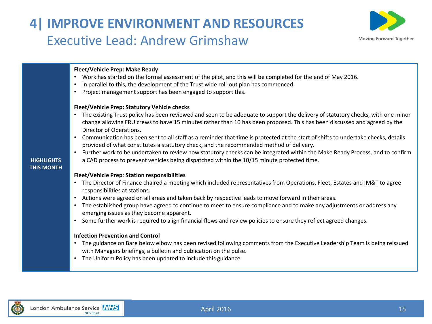# **4| IMPROVE ENVIRONMENT AND RESOURCES** Executive Lead: Andrew Grimshaw



## **Fleet/Vehicle Prep: Make Ready**

- Work has started on the formal assessment of the pilot, and this will be completed for the end of May 2016.
- In parallel to this, the development of the Trust wide roll-out plan has commenced.
- Project management support has been engaged to support this.

## **Fleet/Vehicle Prep: Statutory Vehicle checks**

- The existing Trust policy has been reviewed and seen to be adequate to support the delivery of statutory checks, with one minor change allowing FRU crews to have 15 minutes rather than 10 has been proposed. This has been discussed and agreed by the Director of Operations.
- Communication has been sent to all staff as a reminder that time is protected at the start of shifts to undertake checks, details provided of what constitutes a statutory check, and the recommended method of delivery.
- Further work to be undertaken to review how statutory checks can be integrated within the Make Ready Process, and to confirm a CAD process to prevent vehicles being dispatched within the 10/15 minute protected time.

## **HIGHLIGHTS THIS MONTH**

## **Fleet/Vehicle Prep**: **Station responsibilities**

- The Director of Finance chaired a meeting which included representatives from Operations, Fleet, Estates and IM&T to agree responsibilities at stations.
- Actions were agreed on all areas and taken back by respective leads to move forward in their areas.
- The established group have agreed to continue to meet to ensure compliance and to make any adjustments or address any emerging issues as they become apparent.
- Some further work is required to align financial flows and review policies to ensure they reflect agreed changes.

## **Infection Prevention and Control**

- The guidance on Bare below elbow has been revised following comments from the Executive Leadership Team is being reissued with Managers briefings, a bulletin and publication on the pulse.
- The Uniform Policy has been updated to include this guidance.

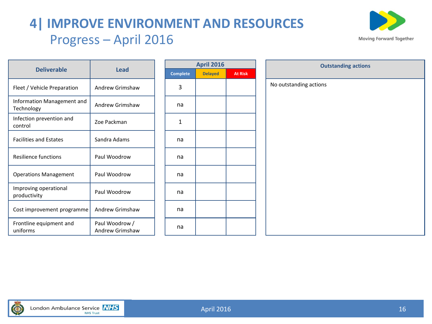# **4| IMPROVE ENVIRONMENT AND RESOURCES** Progress – April 2016



| <b>Deliverable</b>                       | Lead                              | Compl |
|------------------------------------------|-----------------------------------|-------|
| Fleet / Vehicle Preparation              | Andrew Grimshaw                   | 3     |
| Information Management and<br>Technology | Andrew Grimshaw                   | na    |
| Infection prevention and<br>control      | Zoe Packman                       | 1     |
| <b>Facilities and Estates</b>            | Sandra Adams                      | na    |
| Resilience functions                     | Paul Woodrow                      | na    |
| <b>Operations Management</b>             | Paul Woodrow                      | na    |
| Improving operational<br>productivity    | Paul Woodrow                      | na    |
| Cost improvement programme               | Andrew Grimshaw                   | na    |
| Frontline equipment and<br>uniforms      | Paul Woodrow /<br>Andrew Grimshaw | na    |

| <b>April 2016</b> |                |                |  |  |  |  |  |  |
|-------------------|----------------|----------------|--|--|--|--|--|--|
| <b>Complete</b>   | <b>Delayed</b> | <b>At Risk</b> |  |  |  |  |  |  |
| 3                 |                |                |  |  |  |  |  |  |
| na                |                |                |  |  |  |  |  |  |
| $\mathbf{1}$      |                |                |  |  |  |  |  |  |
| na                |                |                |  |  |  |  |  |  |
| na                |                |                |  |  |  |  |  |  |
| na                |                |                |  |  |  |  |  |  |
| na                |                |                |  |  |  |  |  |  |
| na                |                |                |  |  |  |  |  |  |
| na                |                |                |  |  |  |  |  |  |

| <b>April 2016</b> |                |                        | <b>Outstanding actions</b> |  |  |  |  |  |
|-------------------|----------------|------------------------|----------------------------|--|--|--|--|--|
| <b>Delayed</b>    | <b>At Risk</b> |                        |                            |  |  |  |  |  |
|                   |                | No outstanding actions |                            |  |  |  |  |  |
|                   |                |                        |                            |  |  |  |  |  |
|                   |                |                        |                            |  |  |  |  |  |
|                   |                |                        |                            |  |  |  |  |  |
|                   |                |                        |                            |  |  |  |  |  |
|                   |                |                        |                            |  |  |  |  |  |
|                   |                |                        |                            |  |  |  |  |  |
|                   |                |                        |                            |  |  |  |  |  |
|                   |                |                        |                            |  |  |  |  |  |
|                   |                |                        |                            |  |  |  |  |  |
|                   |                |                        |                            |  |  |  |  |  |
|                   |                |                        |                            |  |  |  |  |  |
|                   |                |                        |                            |  |  |  |  |  |
|                   |                |                        |                            |  |  |  |  |  |
|                   |                |                        |                            |  |  |  |  |  |
|                   |                |                        |                            |  |  |  |  |  |
|                   |                |                        |                            |  |  |  |  |  |
|                   |                |                        |                            |  |  |  |  |  |

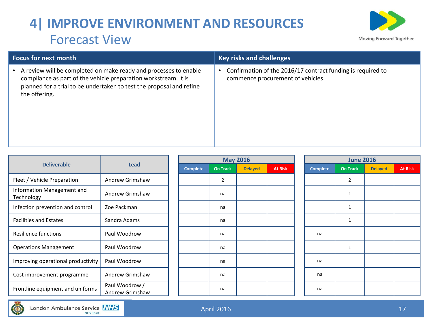# **4| IMPROVE ENVIRONMENT AND RESOURCES** Forecast View



| <b>Focus for next month</b>                                                                                                                                                                                                  | <b>Key risks and challenges</b>                                                                  |  |  |  |  |
|------------------------------------------------------------------------------------------------------------------------------------------------------------------------------------------------------------------------------|--------------------------------------------------------------------------------------------------|--|--|--|--|
| A review will be completed on make ready and processes to enable<br>compliance as part of the vehicle preparation workstream. It is<br>planned for a trial to be undertaken to test the proposal and refine<br>the offering. | Confirmation of the 2016/17 contract funding is required to<br>commence procurement of vehicles. |  |  |  |  |

|                                                                       | <b>Lead</b>     |  |                 | <b>May 2016</b> |                |                |                 |      |
|-----------------------------------------------------------------------|-----------------|--|-----------------|-----------------|----------------|----------------|-----------------|------|
| <b>Deliverable</b>                                                    |                 |  | <b>Complete</b> | <b>On Track</b> | <b>Delayed</b> | <b>At Risk</b> | <b>Complete</b> | On T |
| Fleet / Vehicle Preparation                                           | Andrew Grimshaw |  |                 | $\overline{2}$  |                |                |                 | 2    |
| Information Management and<br>Andrew Grimshaw<br>Technology           |                 |  |                 | na              |                |                |                 | 1    |
| Infection prevention and control                                      | Zoe Packman     |  |                 | na              |                |                |                 | 1    |
| <b>Facilities and Estates</b>                                         | Sandra Adams    |  |                 | na              |                |                |                 | 1    |
| Resilience functions                                                  | Paul Woodrow    |  |                 | na              |                |                | na              |      |
| <b>Operations Management</b>                                          | Paul Woodrow    |  |                 | na              |                |                |                 | 1    |
| Improving operational productivity                                    | Paul Woodrow    |  |                 | na              |                |                | na              |      |
| Cost improvement programme                                            | Andrew Grimshaw |  |                 | na              |                |                | na              |      |
| Paul Woodrow /<br>Frontline equipment and uniforms<br>Andrew Grimshaw |                 |  |                 | na              |                |                | na              |      |

| <b>Lead</b>                       |  |                 | <b>May 2016</b> |                |                | <b>June 2016</b> |                 |                |                |  |  |  |
|-----------------------------------|--|-----------------|-----------------|----------------|----------------|------------------|-----------------|----------------|----------------|--|--|--|
|                                   |  | <b>Complete</b> | <b>On Track</b> | <b>Delayed</b> | <b>At Risk</b> | <b>Complete</b>  | <b>On Track</b> | <b>Delayed</b> | <b>At Risk</b> |  |  |  |
| Andrew Grimshaw                   |  |                 | $\overline{2}$  |                |                |                  | $\overline{2}$  |                |                |  |  |  |
| Andrew Grimshaw                   |  |                 | na              |                |                |                  | 1               |                |                |  |  |  |
| Zoe Packman                       |  |                 | na              |                |                |                  | 1               |                |                |  |  |  |
| Sandra Adams                      |  |                 | na              |                |                |                  | 1               |                |                |  |  |  |
| Paul Woodrow                      |  |                 | na              |                |                | na               |                 |                |                |  |  |  |
| Paul Woodrow                      |  |                 | na              |                |                |                  | 1               |                |                |  |  |  |
| Paul Woodrow                      |  |                 | na              |                |                | na               |                 |                |                |  |  |  |
| Andrew Grimshaw                   |  |                 | na              |                |                | na               |                 |                |                |  |  |  |
| Paul Woodrow /<br>Andrew Grimshaw |  |                 | na              |                |                | na               |                 |                |                |  |  |  |

| <b>June 2016</b> |                 |                |                |  |  |  |  |  |
|------------------|-----------------|----------------|----------------|--|--|--|--|--|
| <b>Complete</b>  | <b>On Track</b> | <b>Delayed</b> | <b>At Risk</b> |  |  |  |  |  |
|                  | $\mathbf 2$     |                |                |  |  |  |  |  |
|                  | $\mathbf{1}$    |                |                |  |  |  |  |  |
|                  | $\mathbf{1}$    |                |                |  |  |  |  |  |
|                  | 1               |                |                |  |  |  |  |  |
| na               |                 |                |                |  |  |  |  |  |
|                  | 1               |                |                |  |  |  |  |  |
| na               |                 |                |                |  |  |  |  |  |
| na               |                 |                |                |  |  |  |  |  |
| na               |                 |                |                |  |  |  |  |  |

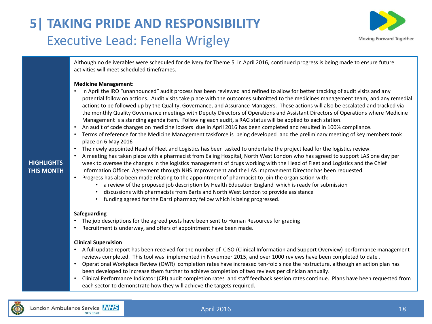# **5| TAKING PRIDE AND RESPONSIBILITY** Executive Lead: Fenella Wrigley



Although no deliverables were scheduled for delivery for Theme 5 in April 2016, continued progress is being made to ensure future activities will meet scheduled timeframes.

## **Medicine Management:**

- In April the IRO "unannounced" audit process has been reviewed and refined to allow for better tracking of audit visits and any potential follow on actions. Audit visits take place with the outcomes submitted to the medicines management team, and any remedial actions to be followed up by the Quality, Governance, and Assurance Managers. These actions will also be escalated and tracked via the monthly Quality Governance meetings with Deputy Directors of Operations and Assistant Directors of Operations where Medicine Management is a standing agenda item. Following each audit, a RAG status will be applied to each station.
- An audit of code changes on medicine lockers due in April 2016 has been completed and resulted in 100% compliance.
- Terms of reference for the Medicine Management taskforce is being developed and the preliminary meeting of key members took place on 6 May 2016
- The newly appointed Head of Fleet and Logistics has been tasked to undertake the project lead for the logistics review.
- A meeting has taken place with a pharmacist from Ealing Hospital, North West London who has agreed to support LAS one day per week to oversee the changes in the logistics management of drugs working with the Head of Fleet and Logistics and the Chief Information Officer. Agreement through NHS Improvement and the LAS Improvement Director has been requested.
- Progress has also been made relating to the appointment of pharmacist to join the organisation with:
	- a review of the proposed job description by Health Education England which is ready for submission
	- discussions with pharmacists from Barts and North West London to provide assistance
	- funding agreed for the Darzi pharmacy fellow which is being progressed.

## **Safeguarding**

- The job descriptions for the agreed posts have been sent to Human Resources for grading
- Recruitment is underway, and offers of appointment have been made.

## **Clinical Supervision**:

- A full update report has been received for the number of CISO (Clinical Information and Support Overview) performance management reviews completed. This tool was implemented in November 2015, and over 1000 reviews have been completed to date .
- Operational Workplace Review (OWR) completion rates have increased ten-fold since the restructure, although an action plan has been developed to increase them further to achieve completion of two reviews per clinician annually.
- Clinical Performance Indicator (CPI) audit completion rates and staff feedback session rates continue. Plans have been requested from each sector to demonstrate how they will achieve the targets required.

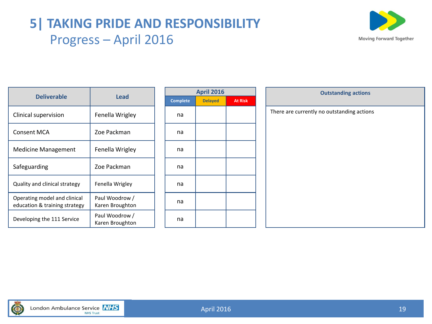# **5| TAKING PRIDE AND RESPONSIBILITY** Progress – April 2016



|                                                               |                                   |  |                 | <b>April 2016</b> |                | <b>Outstanding actions</b>                 |
|---------------------------------------------------------------|-----------------------------------|--|-----------------|-------------------|----------------|--------------------------------------------|
| <b>Deliverable</b>                                            | <b>Lead</b>                       |  | <b>Complete</b> | <b>Delayed</b>    | <b>At Risk</b> |                                            |
| Clinical supervision                                          | Fenella Wrigley                   |  | na              |                   |                | There are currently no outstanding actions |
| <b>Consent MCA</b>                                            | Zoe Packman                       |  | na              |                   |                |                                            |
| <b>Medicine Management</b>                                    | Fenella Wrigley                   |  | na              |                   |                |                                            |
| Safeguarding                                                  | Zoe Packman                       |  | na              |                   |                |                                            |
| Quality and clinical strategy                                 | Fenella Wrigley                   |  | na              |                   |                |                                            |
| Operating model and clinical<br>education & training strategy | Paul Woodrow /<br>Karen Broughton |  | na              |                   |                |                                            |
| Developing the 111 Service                                    | Paul Woodrow /<br>Karen Broughton |  | na              |                   |                |                                            |

| <b>April 2016</b> |                |                |  |  |  |  |  |  |
|-------------------|----------------|----------------|--|--|--|--|--|--|
| <b>Complete</b>   | <b>Delayed</b> | <b>At Risk</b> |  |  |  |  |  |  |
| na                |                |                |  |  |  |  |  |  |
| na                |                |                |  |  |  |  |  |  |
| na                |                |                |  |  |  |  |  |  |
| na                |                |                |  |  |  |  |  |  |
| na                |                |                |  |  |  |  |  |  |
| na                |                |                |  |  |  |  |  |  |
| na                |                |                |  |  |  |  |  |  |

| <b>April 2016</b> |                | <b>Outstanding actions</b>                 |  |  |  |  |  |  |
|-------------------|----------------|--------------------------------------------|--|--|--|--|--|--|
| <b>Delayed</b>    | <b>At Risk</b> |                                            |  |  |  |  |  |  |
|                   |                | There are currently no outstanding actions |  |  |  |  |  |  |
|                   |                |                                            |  |  |  |  |  |  |
|                   |                |                                            |  |  |  |  |  |  |
|                   |                |                                            |  |  |  |  |  |  |
|                   |                |                                            |  |  |  |  |  |  |
|                   |                |                                            |  |  |  |  |  |  |
|                   |                |                                            |  |  |  |  |  |  |
|                   |                |                                            |  |  |  |  |  |  |
|                   |                |                                            |  |  |  |  |  |  |
|                   |                |                                            |  |  |  |  |  |  |
|                   |                |                                            |  |  |  |  |  |  |